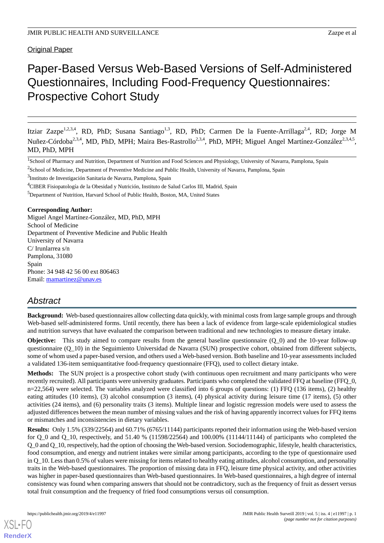Original Paper

# Paper-Based Versus Web-Based Versions of Self-Administered Questionnaires, Including Food-Frequency Questionnaires: Prospective Cohort Study

Itziar Zazpe<sup>1,2,3,4</sup>, RD, PhD; Susana Santiago<sup>1,3</sup>, RD, PhD; Carmen De la Fuente-Arrillaga<sup>2,4</sup>, RD; Jorge M Nuñez-Córdoba<sup>2,3,4</sup>, MD, PhD, MPH; Maira Bes-Rastrollo<sup>2,3,4</sup>, PhD, MPH; Miguel Angel Martínez-González<sup>2,3,4,5</sup>, MD, PhD, MPH

<sup>1</sup>School of Pharmacy and Nutrition, Department of Nutrition and Food Sciences and Physiology, University of Navarra, Pamplona, Spain

<sup>3</sup>Instituto de Investigación Sanitaria de Navarra, Pamplona, Spain

#### **Corresponding Author:**

Miguel Angel Martínez-González, MD, PhD, MPH School of Medicine Department of Preventive Medicine and Public Health University of Navarra C/ Irunlarrea s/n Pamplona, 31080 Spain Phone: 34 948 42 56 00 ext 806463 Email: [mamartinez@unav.es](mailto:mamartinez@unav.es)

# *Abstract*

**Background:** Web-based questionnaires allow collecting data quickly, with minimal costs from large sample groups and through Web-based self-administered forms. Until recently, there has been a lack of evidence from large-scale epidemiological studies and nutrition surveys that have evaluated the comparison between traditional and new technologies to measure dietary intake.

**Objective:** This study aimed to compare results from the general baseline questionnaire (Q\_0) and the 10-year follow-up questionnaire (Q\_10) in the Seguimiento Universidad de Navarra (SUN) prospective cohort, obtained from different subjects, some of whom used a paper-based version, and others used a Web-based version. Both baseline and 10-year assessments included a validated 136-item semiquantitative food-frequency questionnaire (FFQ), used to collect dietary intake.

**Methods:** The SUN project is a prospective cohort study (with continuous open recruitment and many participants who were recently recruited). All participants were university graduates. Participants who completed the validated FFQ at baseline (FFQ\_0, n=22,564) were selected. The variables analyzed were classified into 6 groups of questions: (1) FFQ (136 items), (2) healthy eating attitudes (10 items), (3) alcohol consumption (3 items), (4) physical activity during leisure time (17 items), (5) other activities (24 items), and (6) personality traits (3 items). Multiple linear and logistic regression models were used to assess the adjusted differences between the mean number of missing values and the risk of having apparently incorrect values for FFQ items or mismatches and inconsistencies in dietary variables.

**Results:** Only 1.5% (339/22564) and 60.71% (6765/11144) participants reported their information using the Web-based version for  $Q_0$  and  $Q_1$ 0, respectively, and 51.40 % (11598/22564) and 100.00% (11144/11144) of participants who completed the Q\_0 and Q\_10, respectively, had the option of choosing the Web-based version. Sociodemographic, lifestyle, health characteristics, food consumption, and energy and nutrient intakes were similar among participants, according to the type of questionnaire used in Q\_10. Less than 0.5% of values were missing for items related to healthy eating attitudes, alcohol consumption, and personality traits in the Web-based questionnaires. The proportion of missing data in FFQ, leisure time physical activity, and other activities was higher in paper-based questionnaires than Web-based questionnaires. In Web-based questionnaires, a high degree of internal consistency was found when comparing answers that should not be contradictory, such as the frequency of fruit as dessert versus total fruit consumption and the frequency of fried food consumptions versus oil consumption.

[XSL](http://www.w3.org/Style/XSL)•FO **[RenderX](http://www.renderx.com/)**

<sup>&</sup>lt;sup>2</sup>School of Medicine, Department of Preventive Medicine and Public Health, University of Navarra, Pamplona, Spain

<sup>4</sup>CIBER Fisiopatología de la Obesidad y Nutrición, Instituto de Salud Carlos III, Madrid, Spain

<sup>&</sup>lt;sup>5</sup>Department of Nutrition, Harvard School of Public Health, Boston, MA, United States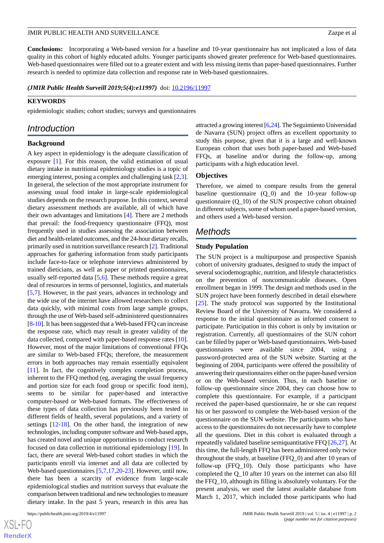**Conclusions:** Incorporating a Web-based version for a baseline and 10-year questionnaire has not implicated a loss of data quality in this cohort of highly educated adults. Younger participants showed greater preference for Web-based questionnaires. Web-based questionnaires were filled out to a greater extent and with less missing items than paper-based questionnaires. Further research is needed to optimize data collection and response rate in Web-based questionnaires.

*(JMIR Public Health Surveill 2019;5(4):e11997)* doi:  $10.2196/11997$ 

#### **KEYWORDS**

epidemiologic studies; cohort studies; surveys and questionnaires

# *Introduction*

#### **Background**

A key aspect in epidemiology is the adequate classification of exposure [\[1](#page-10-0)]. For this reason, the valid estimation of usual dietary intake in nutritional epidemiology studies is a topic of emerging interest, posing a complex and challenging task [\[2](#page-10-1),[3\]](#page-10-2). In general, the selection of the most appropriate instrument for assessing usual food intake in large-scale epidemiological studies depends on the research purpose. In this context, several dietary assessment methods are available, all of which have their own advantages and limitations [[4\]](#page-10-3). There are 2 methods that prevail: the food-frequency questionnaire (FFQ), most frequently used in studies assessing the association between diet and health-related outcomes, and the 24-hour dietary recalls, primarily used in nutrition surveillance research [\[2](#page-10-1)]. Traditional approaches for gathering information from study participants include face-to-face or telephone interviews administered by trained dieticians, as well as paper or printed questionnaires, usually self-reported data [\[5](#page-10-4),[6\]](#page-10-5). These methods require a great deal of resources in terms of personnel, logistics, and materials [[5](#page-10-4)[,7](#page-10-6)]. However, in the past years, advances in technology and the wide use of the internet have allowed researchers to collect data quickly, with minimal costs from large sample groups, through the use of Web-based self-administered questionnaires [[8-](#page-10-7)[10\]](#page-10-8). It has been suggested that a Web-based FFQ can increase the response rate, which may result in greater validity of the data collected, compared with paper-based response rates [[10\]](#page-10-8). However, most of the major limitations of conventional FFQs are similar to Web-based FFQs; therefore, the measurement errors in both approaches may remain essentially equivalent [[11\]](#page-10-9). In fact, the cognitively complex completion process, inherent to the FFQ method (eg, averaging the usual frequency and portion size for each food group or specific food item), seems to be similar for paper-based and interactive computer-based or Web-based formats. The effectiveness of these types of data collection has previously been tested in different fields of health, several populations, and a variety of settings [[12-](#page-10-10)[18](#page-11-0)]. On the other hand, the integration of new technologies, including computer software and Web-based apps, has created novel and unique opportunities to conduct research focused on data collection in nutritional epidemiology [[19](#page-11-1)]. In fact, there are several Web-based cohort studies in which the participants enroll via internet and all data are collected by Web-based questionnaires [[5,](#page-10-4)[7](#page-10-6),[17,](#page-11-2)[20](#page-11-3)[-23](#page-11-4)]. However, until now, there has been a scarcity of evidence from large-scale epidemiological studies and nutrition surveys that evaluate the comparison between traditional and new technologies to measure dietary intake. In the past 5 years, research in this area has

attracted a growing interest [[6](#page-10-5)[,24\]](#page-11-5). The Seguimiento Universidad de Navarra (SUN) project offers an excellent opportunity to study this purpose, given that it is a large and well-known European cohort that uses both paper-based and Web-based FFQs, at baseline and/or during the follow-up, among participants with a high education level.

#### **Objectives**

Therefore, we aimed to compare results from the general baseline questionnaire  $(Q_0)$  and the 10-year follow-up questionnaire (Q\_10) of the SUN prospective cohort obtained in different subjects, some of whom used a paper-based version, and others used a Web-based version.

# *Methods*

#### **Study Population**

The SUN project is a multipurpose and prospective Spanish cohort of university graduates, designed to study the impact of several sociodemographic, nutrition, and lifestyle characteristics on the prevention of noncommunicable diseases. Open enrollment began in 1999. The design and methods used in the SUN project have been formerly described in detail elsewhere [[25\]](#page-11-6). The study protocol was supported by the Institutional Review Board of the University of Navarra. We considered a response to the initial questionnaire as informed consent to participate. Participation in this cohort is only by invitation or registration. Currently, all questionnaires of the SUN cohort can be filled by paper or Web-based questionnaires. Web-based questionnaires were available since 2004, using a password-protected area of the SUN website. Starting at the beginning of 2004, participants were offered the possibility of answering their questionnaires either on the paper-based version or on the Web-based version. Thus, in each baseline or follow-up questionnaire since 2004, they can choose how to complete this questionnaire. For example, if a participant received the paper-based questionnaire, he or she can request his or her password to complete the Web-based version of the questionnaire on the SUN website. The participants who have access to the questionnaires do not necessarily have to complete all the questions. Diet in this cohort is evaluated through a repeatedly validated baseline semiquantitative FFQ [\[26](#page-11-7),[27\]](#page-11-8). At this time, the full-length FFQ has been administered only twice throughout the study, at baseline (FFQ\_0) and after 10 years of follow-up (FFQ\_10). Only those participants who have completed the Q\_10 after 10 years on the internet can also fill the FFQ\_10, although its filling is absolutely voluntary. For the present analysis, we used the latest available database from March 1, 2017, which included those participants who had

[XSL](http://www.w3.org/Style/XSL)•FO **[RenderX](http://www.renderx.com/)**

#### JMIR PUBLIC HEALTH AND SURVEILLANCE Zazpe et al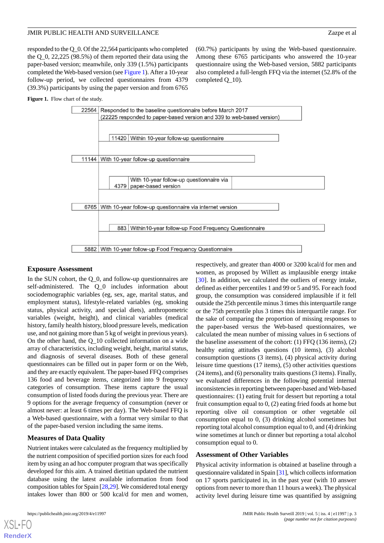responded to the Q\_0. Of the 22,564 participants who completed the Q\_0, 22,225 (98.5%) of them reported their data using the paper-based version; meanwhile, only 339 (1.5%) participants completed the Web-based version (see [Figure 1](#page-2-0)). After a 10-year follow-up period, we collected questionnaires from 4379 (39.3%) participants by using the paper version and from 6765

#### <span id="page-2-0"></span>Figure 1. Flow chart of the study.



completed Q\_10).

#### **Exposure Assessment**

In the SUN cohort, the Q 0, and follow-up questionnaires are self-administered. The Q\_0 includes information about sociodemographic variables (eg, sex, age, marital status, and employment status), lifestyle-related variables (eg, smoking status, physical activity, and special diets), anthropometric variables (weight, height), and clinical variables (medical history, family health history, blood pressure levels, medication use, and not gaining more than 5 kg of weight in previous years). On the other hand, the Q\_10 collected information on a wide array of characteristics, including weight, height, marital status, and diagnosis of several diseases. Both of these general questionnaires can be filled out in paper form or on the Web, and they are exactly equivalent. The paper-based FFQ comprises 136 food and beverage items, categorized into 9 frequency categories of consumption. These items capture the usual consumption of listed foods during the previous year. There are 9 options for the average frequency of consumption (never or almost never: at least 6 times per day). The Web-based FFQ is a Web-based questionnaire, with a format very similar to that of the paper-based version including the same items.

# **Measures of Data Quality**

Nutrient intakes were calculated as the frequency multiplied by the nutrient composition of specified portion sizes for each food item by using an ad hoc computer program that was specifically developed for this aim. A trained dietitian updated the nutrient database using the latest available information from food composition tables for Spain [[28,](#page-11-9)[29\]](#page-11-10). We considered total energy intakes lower than 800 or 500 kcal/d for men and women,

respectively, and greater than 4000 or 3200 kcal/d for men and women, as proposed by Willett as implausible energy intake [[30\]](#page-11-11). In addition, we calculated the outliers of energy intake, defined as either percentiles 1 and 99 or 5 and 95. For each food group, the consumption was considered implausible if it fell outside the 25th percentile minus 3 times this interquartile range or the 75th percentile plus 3 times this interquartile range. For the sake of comparing the proportion of missing responses to the paper-based versus the Web-based questionnaires, we calculated the mean number of missing values in 6 sections of the baseline assessment of the cohort: (1) FFQ (136 items), (2) healthy eating attitudes questions (10 items), (3) alcohol consumption questions (3 items), (4) physical activity during leisure time questions (17 items), (5) other activities questions (24 items), and (6) personality traits questions (3 items). Finally, we evaluated differences in the following potential internal inconsistencies in reporting between paper-based and Web-based questionnaires: (1) eating fruit for dessert but reporting a total fruit consumption equal to 0, (2) eating fried foods at home but reporting olive oil consumption or other vegetable oil consumption equal to 0, (3) drinking alcohol sometimes but reporting total alcohol consumption equal to 0, and (4) drinking wine sometimes at lunch or dinner but reporting a total alcohol consumption equal to 0.

(60.7%) participants by using the Web-based questionnaire. Among these 6765 participants who answered the 10-year questionnaire using the Web-based version, 5882 participants also completed a full-length FFQ via the internet (52.8% of the

#### **Assessment of Other Variables**

Physical activity information is obtained at baseline through a questionnaire validated in Spain [\[31\]](#page-11-12), which collects information on 17 sports participated in, in the past year (with 10 answer options from never to more than 11 hours a week). The physical activity level during leisure time was quantified by assigning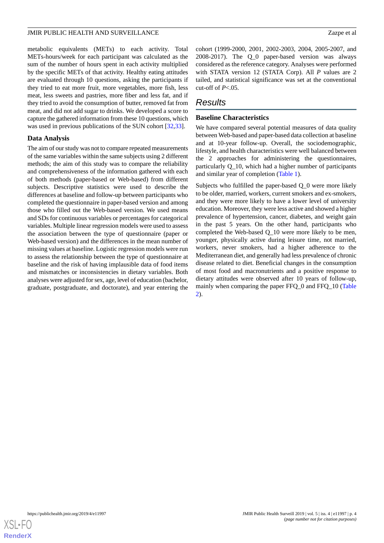metabolic equivalents (METs) to each activity. Total METs-hours/week for each participant was calculated as the sum of the number of hours spent in each activity multiplied by the specific METs of that activity. Healthy eating attitudes are evaluated through 10 questions, asking the participants if they tried to eat more fruit, more vegetables, more fish, less meat, less sweets and pastries, more fiber and less fat, and if they tried to avoid the consumption of butter, removed fat from meat, and did not add sugar to drinks. We developed a score to capture the gathered information from these 10 questions, which was used in previous publications of the SUN cohort [\[32](#page-11-13),[33\]](#page-11-14).

#### **Data Analysis**

The aim of our study was not to compare repeated measurements of the same variables within the same subjects using 2 different methods; the aim of this study was to compare the reliability and comprehensiveness of the information gathered with each of both methods (paper-based or Web-based) from different subjects. Descriptive statistics were used to describe the differences at baseline and follow-up between participants who completed the questionnaire in paper-based version and among those who filled out the Web-based version. We used means and SDs for continuous variables or percentages for categorical variables. Multiple linear regression models were used to assess the association between the type of questionnaire (paper or Web-based version) and the differences in the mean number of missing values at baseline. Logistic regression models were run to assess the relationship between the type of questionnaire at baseline and the risk of having implausible data of food items and mismatches or inconsistencies in dietary variables. Both analyses were adjusted for sex, age, level of education (bachelor, graduate, postgraduate, and doctorate), and year entering the

cohort (1999-2000, 2001, 2002-2003, 2004, 2005-2007, and 2008-2017). The Q\_0 paper-based version was always considered as the reference category. Analyses were performed with STATA version 12 (STATA Corp). All *P* values are 2 tailed, and statistical significance was set at the conventional cut-off of *P*<.05.

# *Results*

### **Baseline Characteristics**

We have compared several potential measures of data quality between Web-based and paper-based data collection at baseline and at 10-year follow-up. Overall, the sociodemographic, lifestyle, and health characteristics were well balanced between the 2 approaches for administering the questionnaires, particularly Q\_10, which had a higher number of participants and similar year of completion [\(Table 1\)](#page-4-0).

Subjects who fulfilled the paper-based Q\_0 were more likely to be older, married, workers, current smokers and ex-smokers, and they were more likely to have a lower level of university education. Moreover, they were less active and showed a higher prevalence of hypertension, cancer, diabetes, and weight gain in the past 5 years. On the other hand, participants who completed the Web-based Q\_10 were more likely to be men, younger, physically active during leisure time, not married, workers, never smokers, had a higher adherence to the Mediterranean diet, and generally had less prevalence of chronic disease related to diet. Beneficial changes in the consumption of most food and macronutrients and a positive response to dietary attitudes were observed after 10 years of follow-up, mainly when comparing the paper FFQ\_0 and FFQ\_10 ([Table](#page-5-0) [2\)](#page-5-0).

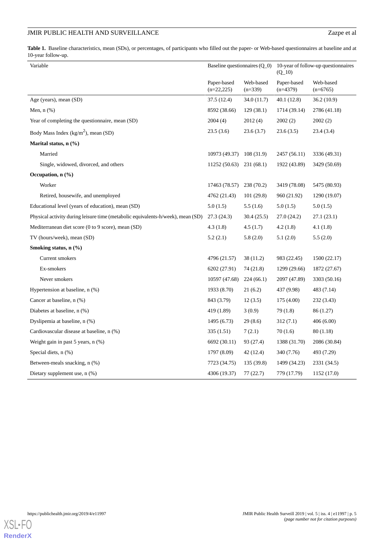<span id="page-4-0"></span>Table 1. Baseline characteristics, mean (SDs), or percentages, of participants who filled out the paper- or Web-based questionnaires at baseline and at 10-year follow-up.

| Variable                                                                        | Baseline questionnaires $(Q_0)$ |                        | 10-year of follow-up questionnaires<br>$(Q_10)$ |                         |
|---------------------------------------------------------------------------------|---------------------------------|------------------------|-------------------------------------------------|-------------------------|
|                                                                                 | Paper-based<br>$(n=22,225)$     | Web-based<br>$(n=339)$ | Paper-based<br>$(n=4379)$                       | Web-based<br>$(n=6765)$ |
| Age (years), mean (SD)                                                          | 37.5 (12.4)                     | 34.0 (11.7)            | 40.1 (12.8)                                     | 36.2(10.9)              |
| Men, $n$ $(\%)$                                                                 | 8592 (38.66)                    | 129(38.1)              | 1714 (39.14)                                    | 2786 (41.18)            |
| Year of completing the questionnaire, mean (SD)                                 | 2004(4)                         | 2012(4)                | 2002(2)                                         | 2002(2)                 |
| Body Mass Index ( $kg/m2$ ), mean (SD)                                          | 23.5(3.6)                       | 23.6(3.7)              | 23.6(3.5)                                       | 23.4 (3.4)              |
| Marital status, n (%)                                                           |                                 |                        |                                                 |                         |
| Married                                                                         | 10973 (49.37)                   | 108(31.9)              | 2457 (56.11)                                    | 3336 (49.31)            |
| Single, widowed, divorced, and others                                           | 11252 (50.63)                   | 231 (68.1)             | 1922 (43.89)                                    | 3429 (50.69)            |
| Occupation, $n$ $(\frac{6}{6})$                                                 |                                 |                        |                                                 |                         |
| Worker                                                                          | 17463 (78.57)                   | 238(70.2)              | 3419 (78.08)                                    | 5475 (80.93)            |
| Retired, housewife, and unemployed                                              | 4762 (21.43)                    | 101(29.8)              | 960 (21.92)                                     | 1290 (19.07)            |
| Educational level (years of education), mean (SD)                               | 5.0(1.5)                        | 5.5(1.6)               | 5.0(1.5)                                        | 5.0(1.5)                |
| Physical activity during leisure time (metabolic equivalents-h/week), mean (SD) | 27.3 (24.3)                     | 30.4(25.5)             | 27.0 (24.2)                                     | 27.1(23.1)              |
| Mediterranean diet score (0 to 9 score), mean (SD)                              | 4.3(1.8)                        | 4.5(1.7)               | 4.2(1.8)                                        | 4.1(1.8)                |
| TV (hours/week), mean (SD)                                                      | 5.2(2.1)                        | 5.8(2.0)               | 5.1(2.0)                                        | 5.5(2.0)                |
| Smoking status, $n$ $(\frac{9}{6})$                                             |                                 |                        |                                                 |                         |
| Current smokers                                                                 | 4796 (21.57)                    | 38 (11.2)              | 983 (22.45)                                     | 1500 (22.17)            |
| Ex-smokers                                                                      | 6202 (27.91)                    | 74 (21.8)              | 1299 (29.66)                                    | 1872 (27.67)            |
| Never smokers                                                                   | 10597 (47.68)                   | 224(66.1)              | 2097 (47.89)                                    | 3303 (50.16)            |
| Hypertension at baseline, n (%)                                                 | 1933 (8.70)                     | 21(6.2)                | 437 (9.98)                                      | 483 (7.14)              |
| Cancer at baseline, n (%)                                                       | 843 (3.79)                      | 12(3.5)                | 175 (4.00)                                      | 232 (3.43)              |
| Diabetes at baseline, n (%)                                                     | 419 (1.89)                      | 3(0.9)                 | 79 (1.8)                                        | 86 (1.27)               |
| Dyslipemia at baseline, n (%)                                                   | 1495 (6.73)                     | 29(8.6)                | 312(7.1)                                        | 406(6.00)               |
| Cardiovascular disease at baseline, n (%)                                       | 335(1.51)                       | 7(2.1)                 | 70(1.6)                                         | 80 (1.18)               |
| Weight gain in past 5 years, n (%)                                              | 6692 (30.11)                    | 93 (27.4)              | 1388 (31.70)                                    | 2086 (30.84)            |
| Special diets, n (%)                                                            | 1797 (8.09)                     | 42 (12.4)              | 340 (7.76)                                      | 493 (7.29)              |
| Between-meals snacking, n (%)                                                   | 7723 (34.75)                    | 135 (39.8)             | 1499 (34.23)                                    | 2331 (34.5)             |
| Dietary supplement use, n (%)                                                   | 4306 (19.37)                    | 77(22.7)               | 779 (17.79)                                     | 1152 (17.0)             |

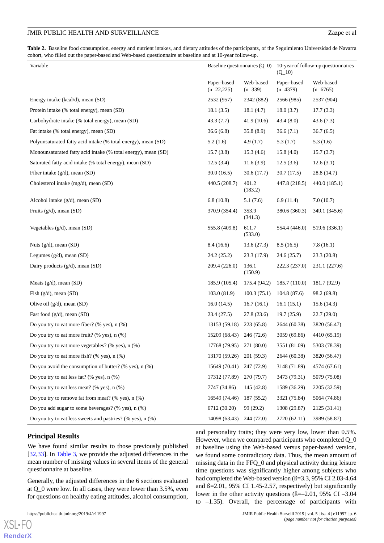<span id="page-5-0"></span>**Table 2.** Baseline food consumption, energy and nutrient intakes, and dietary attitudes of the participants, of the Seguimiento Universidad de Navarra cohort, who filled out the paper-based and Web-based questionnaire at baseline and at 10-year follow-up.

| Variable                                                      | Baseline questionnaires $(Q_0)$ |                        | 10-year of follow-up questionnaires<br>$(Q_1 10)$ |                         |
|---------------------------------------------------------------|---------------------------------|------------------------|---------------------------------------------------|-------------------------|
|                                                               | Paper-based<br>$(n=22,225)$     | Web-based<br>$(n=339)$ | Paper-based<br>$(n=4379)$                         | Web-based<br>$(n=6765)$ |
| Energy intake (kcal/d), mean (SD)                             | 2532 (957)                      | 2342 (882)             | 2566 (985)                                        | 2537 (904)              |
| Protein intake (% total energy), mean (SD)                    | 18.1(3.5)                       | 18.1(4.7)              | 18.0(3.7)                                         | 17.7(3.3)               |
| Carbohydrate intake (% total energy), mean (SD)               | 43.3 (7.7)                      | 41.9 (10.6)            | 43.4 (8.0)                                        | 43.6(7.3)               |
| Fat intake (% total energy), mean (SD)                        | 36.6(6.8)                       | 35.8 (8.9)             | 36.6(7.1)                                         | 36.7(6.5)               |
| Polyunsaturated fatty acid intake (% total energy), mean (SD) | 5.2(1.6)                        | 4.9(1.7)               | 5.3(1.7)                                          | 5.3(1.6)                |
| Monounsaturated fatty acid intake (% total energy), mean (SD) | 15.7(3.8)                       | 15.3(4.6)              | 15.8(4.0)                                         | 15.7(3.7)               |
| Saturated fatty acid intake (% total energy), mean (SD)       | 12.5(3.4)                       | 11.6(3.9)              | 12.5(3.6)                                         | 12.6(3.1)               |
| Fiber intake $(g/d)$ , mean $(SD)$                            | 30.0(16.5)                      | 30.6(17.7)             | 30.7(17.5)                                        | 28.8 (14.7)             |
| Cholesterol intake (mg/d), mean (SD)                          | 440.5 (208.7)                   | 401.2<br>(183.2)       | 447.8 (218.5)                                     | 440.0 (185.1)           |
| Alcohol intake (g/d), mean (SD)                               | 6.8(10.8)                       | 5.1(7.6)               | 6.9(11.4)                                         | 7.0(10.7)               |
| Fruits $(g/d)$ , mean $(SD)$                                  | 370.9 (354.4)                   | 353.9<br>(341.3)       | 380.6 (360.3)                                     | 349.1 (345.6)           |
| Vegetables (g/d), mean (SD)                                   | 555.8 (409.8)                   | 611.7<br>(533.0)       | 554.4 (446.0)                                     | 519.6 (336.1)           |
| Nuts $(g/d)$ , mean $(SD)$                                    | 8.4(16.6)                       | 13.6(27.3)             | 8.5(16.5)                                         | 7.8(16.1)               |
| Legumes $(g/d)$ , mean $(SD)$                                 | 24.2(25.2)                      | 23.3 (17.9)            | 24.6(25.7)                                        | 23.3(20.8)              |
| Dairy products (g/d), mean (SD)                               | 209.4 (226.0)                   | 136.1<br>(150.9)       | 222.3 (237.0)                                     | 231.1 (227.6)           |
| Meats $(g/d)$ , mean $(SD)$                                   | 185.9 (105.4)                   | 175.4 (94.2)           | 185.7 (110.0)                                     | 181.7 (92.9)            |
| Fish $(g/d)$ , mean $(SD)$                                    | 103.0(81.9)                     | 100.3(75.1)            | 104.8(87.6)                                       | 98.2 (69.8)             |
| Olive oil $(g/d)$ , mean $(SD)$                               | 16.0(14.5)                      | 16.7(16.1)             | 16.1(15.1)                                        | 15.6(14.3)              |
| Fast food (g/d), mean (SD)                                    | 23.4(27.5)                      | 27.8(23.6)             | 19.7(25.9)                                        | 22.7(29.0)              |
| Do you try to eat more fiber? (% yes), $n$ (%)                | 13153 (59.18)                   | 223 (65.8)             | 2644 (60.38)                                      | 3820 (56.47)            |
| Do you try to eat more fruit? (% yes), $n$ (%)                | 15209 (68.43)                   | 246(72.6)              | 3059 (69.86)                                      | 4410 (65.19)            |
| Do you try to eat more vegetables? (% yes), n (%)             | 17768 (79.95)                   | 271 (80.0)             | 3551 (81.09)                                      | 5303 (78.39)            |
| Do you try to eat more fish? (% yes), $n$ (%)                 | 13170 (59.26)                   | 201(59.3)              | 2644 (60.38)                                      | 3820 (56.47)            |
| Do you avoid the consumption of butter? (% yes), n (%)        | 15649 (70.41)                   | 247 (72.9)             | 3148 (71.89)                                      | 4574 (67.61)            |
| Do you try to eat less fat? (% yes), $n$ (%)                  | 17312 (77.89)                   | 270(79.7)              | 3473 (79.31)                                      | 5079 (75.08)            |
| Do you try to eat less meat? (% yes), $n$ (%)                 | 7747 (34.86)                    | 145 (42.8)             | 1589 (36.29)                                      | 2205 (32.59)            |
| Do you try to remove fat from meat? (% yes), $n$ (%)          | 16549 (74.46)                   | 187 (55.2)             | 3321 (75.84)                                      | 5064 (74.86)            |
| Do you add sugar to some beverages? (% yes), n (%)            | 6712 (30.20)                    | 99 (29.2)              | 1308 (29.87)                                      | 2125 (31.41)            |
| Do you try to eat less sweets and pastries? (% yes), n (%)    | 14098 (63.43)                   | 244 (72.0)             | 2720 (62.11)                                      | 3989 (58.87)            |

# **Principal Results**

We have found similar results to those previously published [[32](#page-11-13)[,33](#page-11-14)]. In [Table 3,](#page-6-0) we provide the adjusted differences in the mean number of missing values in several items of the general questionnaire at baseline.

Generally, the adjusted differences in the 6 sections evaluated at Q\_0 were low. In all cases, they were lower than 3.5%, even for questions on healthy eating attitudes, alcohol consumption,

 $XS$  • FC **[RenderX](http://www.renderx.com/)** and personality traits; they were very low, lower than 0.5%. However, when we compared participants who completed Q\_0 at baseline using the Web-based versus paper-based version, we found some contradictory data. Thus, the mean amount of missing data in the FFQ 0 and physical activity during leisure time questions was significantly higher among subjects who had completed the Web-based version (ß=3.3, 95% CI 2.03-4.64 and ß=2.01, 95% CI 1.45-2.57, respectively) but significantly lower in the other activity questions  $(B=-2.01, 95\% \text{ CI} -3.04$ to –1.35). Overall, the percentage of participants with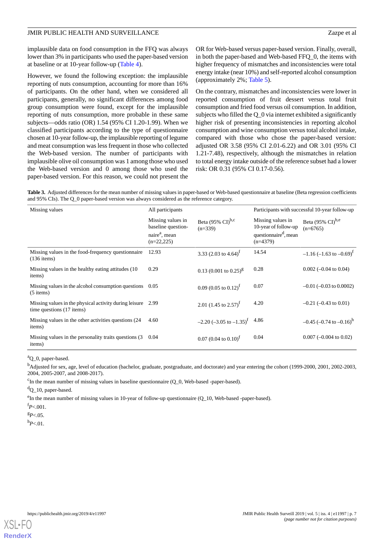implausible data on food consumption in the FFQ was always lower than 3% in participants who used the paper-based version at baseline or at 10-year follow-up [\(Table 4\)](#page-7-0).

However, we found the following exception: the implausible reporting of nuts consumption, accounting for more than 16% of participants. On the other hand, when we considered all participants, generally, no significant differences among food group consumption were found, except for the implausible reporting of nuts consumption, more probable in these same subjects—odds ratio (OR) 1.54 (95% CI 1.20-1.99). When we classified participants according to the type of questionnaire chosen at 10-year follow-up, the implausible reporting of legume and meat consumption was less frequent in those who collected the Web-based version. The number of participants with implausible olive oil consumption was 1 among those who used the Web-based version and 0 among those who used the paper-based version. For this reason, we could not present the

OR for Web-based versus paper-based version. Finally, overall, in both the paper-based and Web-based FFQ\_0, the items with higher frequency of mismatches and inconsistencies were total energy intake (near 10%) and self-reported alcohol consumption (approximately 2%; [Table 5](#page-8-0)).

On the contrary, mismatches and inconsistencies were lower in reported consumption of fruit dessert versus total fruit consumption and fried food versus oil consumption. In addition, subjects who filled the Q\_0 via internet exhibited a significantly higher risk of presenting inconsistencies in reporting alcohol consumption and wine consumption versus total alcohol intake, compared with those who chose the paper-based version: adjusted OR 3.58 (95% CI 2.01-6.22) and OR 3.01 (95% CI 1.21-7.48), respectively, although the mismatches in relation to total energy intake outside of the reference subset had a lower risk: OR 0.31 (95% CI 0.17-0.56).

<span id="page-6-0"></span>**Table 3.** Adjusted differences for the mean number of missing values in paper-based or Web-based questionnaire at baseline (Beta regression coefficients and 95% CIs). The Q\_0 paper-based version was always considered as the reference category.

| Missing values                                                                           | All participants                                                                     |                                                 | Participants with successful 10-year follow-up                                               |                                                     |
|------------------------------------------------------------------------------------------|--------------------------------------------------------------------------------------|-------------------------------------------------|----------------------------------------------------------------------------------------------|-----------------------------------------------------|
|                                                                                          | Missing values in<br>baseline question-<br>naire <sup>a</sup> , mean<br>$(n=22,225)$ | Beta (95% $\text{CI}^{\text{b,c}}$<br>$(n=339)$ | Missing values in<br>10-year of follow-up<br>questionnaire <sup>d</sup> , mean<br>$(n=4379)$ | Beta $(95\% \text{ CI})^{\text{b,e}}$<br>$(n=6765)$ |
| Missing values in the food-frequency questionnaire<br>$(136$ items)                      | 12.93                                                                                | 3.33 (2.03 to 4.64) <sup>1</sup>                | 14.54                                                                                        | $-1.16$ (-1.63 to -0.69) <sup>t</sup>               |
| Missing values in the healthy eating attitudes (10)<br>items)                            | 0.29                                                                                 | $0.13$ (0.001 to 0.25) <sup>g</sup>             | 0.28                                                                                         | $0.002$ (-0.04 to 0.04)                             |
| Missing values in the alcohol consumption questions $0.05$<br>$(5$ items)                |                                                                                      | 0.09 (0.05 to 0.12) <sup>f</sup>                | 0.07                                                                                         | $-0.01$ ( $-0.03$ to 0.0002)                        |
| Missing values in the physical activity during leisure 2.99<br>time questions (17 items) |                                                                                      | 2.01 (1.45 to 2.57) <sup>f</sup>                | 4.20                                                                                         | $-0.21$ ( $-0.43$ to 0.01)                          |
| Missing values in the other activities questions (24)<br>items)                          | 4.60                                                                                 | $-2.20$ (-3.05 to $-1.35$ ) <sup>f</sup> 4.86   |                                                                                              | $-0.45$ (-0.74 to -0.16) <sup>h</sup>               |
| Missing values in the personality traits questions (3)<br>items)                         | 0.04                                                                                 | $0.07(0.04 \text{ to } 0.10)^f$                 | 0.04                                                                                         | $0.007$ (-0.004 to 0.02)                            |

<sup>a</sup>O 0, paper-based.

<sup>b</sup>Adjusted for sex, age, level of education (bachelor, graduate, postgraduate, and doctorate) and year entering the cohort (1999-2000, 2001, 2002-2003, 2004, 2005-2007, and 2008-2017).

 $c<sup>c</sup>$ In the mean number of missing values in baseline questionnaire (Q\_0, Web-based -paper-based).

<sup>d</sup>Q\_10, paper-based.

<sup>e</sup>In the mean number of missing values in 10-year of follow-up questionnaire (Q\_10, Web-based -paper-based).

 $f_{P<.001}$ .

 ${}^{g}P<.05$ .

<sup>h</sup>*P*<.01.

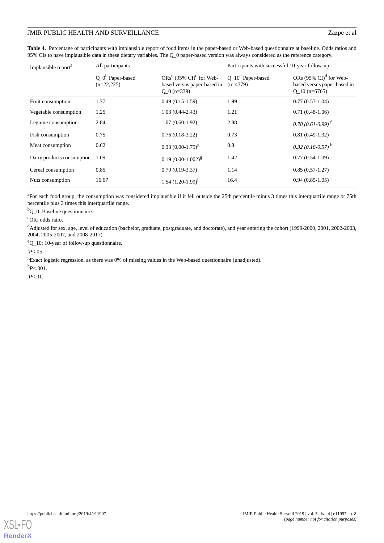<span id="page-7-0"></span>**Table 4.** Percentage of participants with implausible report of food items in the paper-based or Web-based questionnaire at baseline. Odds ratios and 95% CIs to have implausible data in these dietary variables. The Q\_0 paper-based version was always considered as the reference category.

| Implausible report <sup>a</sup> | All participants                    |                                                                                        | Participants with successful 10-year follow-up |                                                                                        |  |
|---------------------------------|-------------------------------------|----------------------------------------------------------------------------------------|------------------------------------------------|----------------------------------------------------------------------------------------|--|
|                                 | $Q_0^b$ Paper-based<br>$(n=22,225)$ | $ORs^c$ (95% CI) <sup>d</sup> for Web-<br>based versus paper-based in<br>$Q_0$ (n=339) | $Q_{10}^e$ Paper-based<br>$(n=4379)$           | ORs $(95\% \text{ CI})^d$ for Web-<br>based versus paper-based in<br>$Q_{10}$ (n=6765) |  |
| Fruit consumption               | 1.77                                | $0.49(0.15-1.59)$                                                                      | 1.99                                           | $0.77(0.57-1.04)$                                                                      |  |
| Vegetable consumption           | 1.25                                | $1.03(0.44 - 2.43)$                                                                    | 1.21                                           | $0.71(0.48-1.06)$                                                                      |  |
| Legume consumption              | 2.84                                | $1.07(0.60-1.92)$                                                                      | 2.88                                           | $0.78(0.61-0.99)^{f}$                                                                  |  |
| Fish consumption                | 0.75                                | $0.76(0.18-3.22)$                                                                      | 0.73                                           | $0.81(0.49-1.32)$                                                                      |  |
| Meat consumption                | 0.62                                | $0.33(0.00-1.79)^8$                                                                    | 0.8                                            | $0.32(0.18-0.57)^{h}$                                                                  |  |
| Dairy products consumption      | 1.09                                | $0.19(0.00-1.002)^{g}$                                                                 | 1.42                                           | $0.77(0.54-1.09)$                                                                      |  |
| Cereal consumption              | 0.85                                | $0.79(0.19-3.37)$                                                                      | 1.14                                           | $0.85(0.57-1.27)$                                                                      |  |
| Nuts consumption                | 16.67                               | 1.54 $(1.20-1.99)^{i}$                                                                 | 16.4                                           | $0.94(0.85-1.05)$                                                                      |  |

<sup>a</sup>For each food group, the consumption was considered implausible if it fell outside the 25th percentile minus 3 times this interquartile range or 75th percentile plus 3 times this interquartile range.

<sup>b</sup>Q\_0: Baseline questionnaire.

<sup>c</sup>OR: odds ratio.

<sup>d</sup>Adjusted for sex, age, level of education (bachelor, graduate, postgraduate, and doctorate), and year entering the cohort (1999-2000, 2001, 2002-2003, 2004, 2005-2007, and 2008-2017).

<sup>e</sup>Q\_10: 10-year of follow-up questionnaire.

 $f_{P < .05}$ .

<sup>g</sup>Exact logistic regression, as there was 0% of missing values in the Web-based questionnaire (unadjusted).

 $h_{P<.001}$ .

 $^{i}P<.01$ .

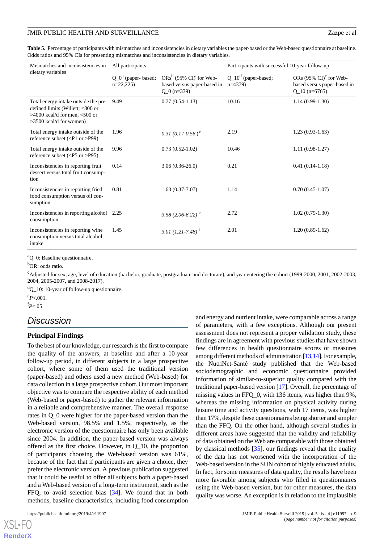<span id="page-8-0"></span>**Table 5.** Percentage of participants with mismatches and inconsistencies in dietary variables the paper-based or the Web-based questionnaire at baseline. Odds ratios and 95% CIs for presenting mismatches and inconsistencies in dietary variables.

| Mismatches and inconsistencies in<br>dietary variables                                                                                     | All participants                    |                                                                                                   | Participants with successful 10-year follow-up |                                                                                     |  |
|--------------------------------------------------------------------------------------------------------------------------------------------|-------------------------------------|---------------------------------------------------------------------------------------------------|------------------------------------------------|-------------------------------------------------------------------------------------|--|
|                                                                                                                                            | $Q_0^a$ (paper-based;<br>$n=22,225$ | $ORs^b$ (95% CI) <sup>c</sup> for Web-<br>based versus paper-based in $n=4379$ )<br>$Q_0$ (n=339) | $Q_10^d$ (paper-based;                         | ORs $(95\% \text{ CI})^c$ for Web-<br>based versus paper-based in<br>$Q_10(n=6765)$ |  |
| Total energy intake outside the pre-<br>defined limits (Willett; <800 or<br>$>4000$ kcal/d for men, $<500$ or<br>$>3500$ kcal/d for women) | 9.49                                | $0.77(0.54-1.13)$                                                                                 | 10.16                                          | $1.14(0.99-1.30)$                                                                   |  |
| Total energy intake outside of the<br>reference subset $(P1 or >P99)$                                                                      | 1.96                                | 0.31 $(0.17-0.56)^e$                                                                              | 2.19                                           | $1.23(0.93-1.63)$                                                                   |  |
| Total energy intake outside of the<br>reference subset $(P5 or >P95)$                                                                      | 9.96                                | $0.73(0.52-1.02)$                                                                                 | 10.46                                          | $1.11(0.98-1.27)$                                                                   |  |
| Inconsistencies in reporting fruit<br>dessert versus total fruit consump-<br>tion                                                          | 0.14                                | $3.06(0.36-26.0)$                                                                                 | 0.21                                           | $0.41(0.14-1.18)$                                                                   |  |
| Inconsistencies in reporting fried<br>food consumption versus oil con-<br>sumption                                                         | 0.81                                | $1.63(0.37 - 7.07)$                                                                               | 1.14                                           | $0.70(0.45-1.07)$                                                                   |  |
| Inconsistencies in reporting alcohol<br>consumption                                                                                        | 2.25                                | $3.58(2.06-6.22)^{e}$                                                                             | 2.72                                           | $1.02(0.79-1.30)$                                                                   |  |
| Inconsistencies in reporting wine<br>consumption versus total alcohol<br>intake                                                            | 1.45                                | 3.01 (1.21-7.48) <sup>f</sup>                                                                     | 2.01                                           | $1.20(0.89-1.62)$                                                                   |  |

<sup>a</sup>Q\_0: Baseline questionnaire.

 $b$ OR: odds ratio.

<sup>c</sup>Adjusted for sex, age, level of education (bachelor, graduate, postgraduate and doctorate), and year entering the cohort (1999-2000, 2001, 2002-2003, 2004, 2005-2007, and 2008-2017).

 ${}^{d}Q_{10}$ : 10-year of follow-up questionnaire.

<sup>e</sup>*P*<.001.

 $f_{P<.05}$ .

# *Discussion*

#### **Principal Findings**

To the best of our knowledge, our research is the first to compare the quality of the answers, at baseline and after a 10-year follow-up period, in different subjects in a large prospective cohort, where some of them used the traditional version (paper-based) and others used a new method (Web-based) for data collection in a large prospective cohort. Our most important objective was to compare the respective ability of each method (Web-based or paper-based) to gather the relevant information in a reliable and comprehensive manner. The overall response rates in Q\_0 were higher for the paper-based version than the Web-based version, 98.5% and 1.5%, respectively, as the electronic version of the questionnaire has only been available since 2004. In addition, the paper-based version was always offered as the first choice. However, in Q\_10, the proportion of participants choosing the Web-based version was 61%, because of the fact that if participants are given a choice, they prefer the electronic version. A previous publication suggested that it could be useful to offer all subjects both a paper-based and a Web-based version of a long-term instrument, such as the FFQ, to avoid selection bias [\[34](#page-11-15)]. We found that in both methods, baseline characteristics, including food consumption

 $XS$  • F( **[RenderX](http://www.renderx.com/)** and energy and nutrient intake, were comparable across a range of parameters, with a few exceptions. Although our present assessment does not represent a proper validation study, these findings are in agreement with previous studies that have shown few differences in health questionnaire scores or measures among different methods of administration [\[13,](#page-10-11)[14\]](#page-10-12). For example, the NutriNet-Santé study published that the Web-based sociodemographic and economic questionnaire provided information of similar-to-superior quality compared with the traditional paper-based version [\[17](#page-11-2)]. Overall, the percentage of missing values in FFQ\_0, with 136 items, was higher than 9%, whereas the missing information on physical activity during leisure time and activity questions, with 17 items, was higher than 17%, despite these questionnaires being shorter and simpler than the FFQ. On the other hand, although several studies in different areas have suggested that the validity and reliability of data obtained on the Web are comparable with those obtained by classical methods [[35\]](#page-11-16), our findings reveal that the quality of the data has not worsened with the incorporation of the Web-based version in the SUN cohort of highly educated adults. In fact, for some measures of data quality, the results have been more favorable among subjects who filled in questionnaires using the Web-based version, but for other measures, the data quality was worse. An exception is in relation to the implausible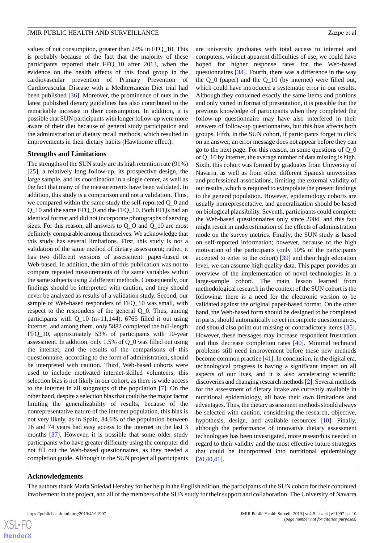values of nut consumption, greater than 24% in FFQ\_10. This is probably because of the fact that the majority of these participants reported their FFQ\_10 after 2013, when the evidence on the health effects of this food group in the cardiovascular prevention of Primary Prevention of Cardiovascular Disease with a Mediterranean Diet trial had been published [[36\]](#page-11-17). Moreover, the prominence of nuts in the latest published dietary guidelines has also contributed to the remarkable increase in their consumption. In addition, it is possible that SUN participants with longer follow-up were more aware of their diet because of general study participation and the administration of dietary recall methods, which resulted in improvements in their dietary habits (Hawthorne effect).

#### **Strengths and Limitations**

The strengths of the SUN study are its high retention rate (91%)  $[25]$  $[25]$ , a relatively long follow-up, its prospective design, the large sample, and its coordination in a single center, as well as the fact that many of the measurements have been validated. In addition, this study is a comparison and not a validation. Thus, we compared within the same study the self-reported Q\_0 and Q\_10 and the same FFQ\_0 and the FFQ\_10. Both FFQs had an identical format and did not incorporate photographs of serving sizes. For this reason, all answers to Q\_O and Q\_10 are most definitely comparable among themselves. We acknowledge that this study has several limitations. First, this study is not a validation of the same method of dietary assessment; rather, it has two different versions of assessment: paper-based or Web-based. In addition, the aim of this publication was not to compare repeated measurements of the same variables within the same subjects using 2 different methods. Consequently, our findings should be interpreted with caution, and they should never be analyzed as results of a validation study. Second, our sample of Web-based responders of FFQ 10 was small, with respect to the responders of the general Q\_0. Thus, among participants with Q 10 (n=11,144), 6765 filled it out using internet, and among them, only 5882 completed the full-length FFQ\_10, approximately 53% of participants with 10-year assessment. In addition, only 1.5% of Q\_0 was filled out using the internet, and the results of the comparisons of this questionnaire, according to the form of administration, should be interpreted with caution. Third, Web-based cohorts were used to include motivated internet-skilled volunteers; this selection bias is not likely in our cohort, as there is wide access to the internet in all subgroups of the population [[7](#page-10-6)]. On the other hand, despite a selection bias that could be the major factor limiting the generalizability of results, because of the nonrepresentative nature of the internet population, this bias is not very likely, as in Spain, 84.6% of the population between 16 and 74 years had easy access to the internet in the last 3 months [[37\]](#page-11-18). However, it is possible that some older study participants who have greater difficulty using the computer did not fill out the Web-based questionnaires, as they needed a completion guide. Although in the SUN project all participants

are university graduates with total access to internet and computers, without apparent difficulties of use, we could have hoped for higher response rates for the Web-based questionnaires [[38\]](#page-11-19). Fourth, there was a difference in the way the Q\_0 (paper) and the Q\_10 (by internet) were filled out, which could have introduced a systematic error in our results. Although they contained exactly the same items and portions and only varied in format of presentation, it is possible that the previous knowledge of participants when they completed the follow-up questionnaire may have also interfered in their answers of follow-up questionnaires, but this bias affects both groups. Fifth, in the SUN cohort, if participants forget to click on an answer, an error message does not appear before they can go to the next page. For this reason, in some questions of Q\_0 or Q\_10 by internet, the average number of data missing is high. Sixth, this cohort was formed by graduates from University of Navarra, as well as from other different Spanish universities and professional associations, limiting the external validity of our results, which is required to extrapolate the present findings to the general population. However, epidemiology cohorts are usually nonrepresentative, and generalization should be based on biological plausibility. Seventh, participants could complete the Web-based questionnaires only since 2004, and this fact might result in underestimation of the effects of administration mode on the survey metrics. Finally, the SUN study is based on self-reported information; however, because of the high motivation of the participants (only 10% of the participants accepted to enter to the cohort) [\[39](#page-12-0)] and their high education level, we can assume high quality data. This paper provides an overview of the implementation of novel technologies in a large-sample cohort. The main lesson learned from methodological research in the context of the SUN cohort is the following: there is a need for the electronic version to be validated against the original paper-based format. On the other hand, the Web-based form should be designed to be completed in parts, should automatically reject incomplete questionnaires, and should also point out missing or contradictory items [[35\]](#page-11-16). However, these messages may increase respondent frustration and thus decrease completion rates [[40\]](#page-12-1). Minimal technical problems still need improvement before these new methods become common practice [[41\]](#page-12-2). In conclusion, in the digital era, technological progress is having a significant impact on all aspects of our lives, and it is also accelerating scientific discoveries and changing research methods [\[2\]](#page-10-1). Several methods for the assessment of dietary intake are currently available in nutritional epidemiology, all have their own limitations and advantages. Thus, the dietary assessment methods should always be selected with caution, considering the research, objective, hypothesis, design, and available resources [\[10](#page-10-8)]. Finally, although the performance of innovative dietary assessment technologies has been investigated, more research is needed in regard to their validity and the most effective future strategies that could be incorporated into nutritional epidemiology [[20,](#page-11-3)[40,](#page-12-1)[41\]](#page-12-2).

# **Acknowledgments**

 $XS$ -FO **[RenderX](http://www.renderx.com/)**

The authors thank Maria Soledad Hershey for her help in the English edition, the participants of the SUN cohort for their continued involvement in the project, and all of the members of the SUN study for their support and collaboration. The University of Navarra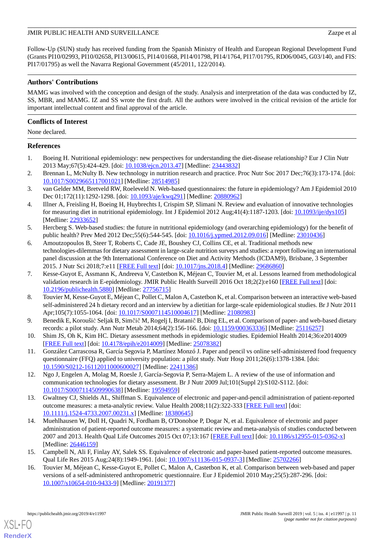Follow-Up (SUN) study has received funding from the Spanish Ministry of Health and European Regional Development Fund (Grants PI10/02993, PI10/02658, PI13/00615, PI14/01668, PI14/01798, PI14/1764, PI17/01795, RD06/0045, G03/140, and FIS: PI17/01795) as well the Navarra Regional Government (45/2011, 122/2014).

# **Authors' Contributions**

MAMG was involved with the conception and design of the study. Analysis and interpretation of the data was conducted by IZ, SS, MBR, and MAMG. IZ and SS wrote the first draft. All the authors were involved in the critical revision of the article for important intellectual content and final approval of the article.

# **Conflicts of Interest**

None declared.

# <span id="page-10-0"></span>**References**

- <span id="page-10-1"></span>1. Boeing H. Nutritional epidemiology: new perspectives for understanding the diet-disease relationship? Eur J Clin Nutr 2013 May;67(5):424-429. [doi: [10.1038/ejcn.2013.47](http://dx.doi.org/10.1038/ejcn.2013.47)] [Medline: [23443832](http://www.ncbi.nlm.nih.gov/entrez/query.fcgi?cmd=Retrieve&db=PubMed&list_uids=23443832&dopt=Abstract)]
- <span id="page-10-2"></span>2. Brennan L, McNulty B. New technology in nutrition research and practice. Proc Nutr Soc 2017 Dec;76(3):173-174. [doi: [10.1017/S0029665117001021](http://dx.doi.org/10.1017/S0029665117001021)] [Medline: [28514985](http://www.ncbi.nlm.nih.gov/entrez/query.fcgi?cmd=Retrieve&db=PubMed&list_uids=28514985&dopt=Abstract)]
- <span id="page-10-3"></span>3. van Gelder MM, Bretveld RW, Roeleveld N. Web-based questionnaires: the future in epidemiology? Am J Epidemiol 2010 Dec 01;172(11):1292-1298. [doi: [10.1093/aje/kwq291](http://dx.doi.org/10.1093/aje/kwq291)] [Medline: [20880962\]](http://www.ncbi.nlm.nih.gov/entrez/query.fcgi?cmd=Retrieve&db=PubMed&list_uids=20880962&dopt=Abstract)
- <span id="page-10-4"></span>4. Illner A, Freisling H, Boeing H, Huybrechts I, Crispim SP, Slimani N. Review and evaluation of innovative technologies for measuring diet in nutritional epidemiology. Int J Epidemiol 2012 Aug;41(4):1187-1203. [doi: [10.1093/ije/dys105\]](http://dx.doi.org/10.1093/ije/dys105) [Medline: [22933652](http://www.ncbi.nlm.nih.gov/entrez/query.fcgi?cmd=Retrieve&db=PubMed&list_uids=22933652&dopt=Abstract)]
- <span id="page-10-5"></span>5. Hercberg S. Web-based studies: the future in nutritional epidemiology (and overarching epidemiology) for the benefit of public health? Prev Med 2012 Dec;55(6):544-545. [doi: [10.1016/j.ypmed.2012.09.016\]](http://dx.doi.org/10.1016/j.ypmed.2012.09.016) [Medline: [23010436](http://www.ncbi.nlm.nih.gov/entrez/query.fcgi?cmd=Retrieve&db=PubMed&list_uids=23010436&dopt=Abstract)]
- <span id="page-10-6"></span>6. Amoutzopoulos B, Steer T, Roberts C, Cade JE, Boushey CJ, Collins CE, et al. Traditional methods new technologies-dilemmas for dietary assessment in large-scale nutrition surveys and studies: a report following an international panel discussion at the 9th International Conference on Diet and Activity Methods (ICDAM9), Brisbane, 3 September 2015. J Nutr Sci 2018;7:e11 [[FREE Full text](http://europepmc.org/abstract/MED/29686860)] [doi: [10.1017/jns.2018.4](http://dx.doi.org/10.1017/jns.2018.4)] [Medline: [29686860](http://www.ncbi.nlm.nih.gov/entrez/query.fcgi?cmd=Retrieve&db=PubMed&list_uids=29686860&dopt=Abstract)]
- <span id="page-10-7"></span>7. Kesse-Guyot E, Assmann K, Andreeva V, Castetbon K, Méjean C, Touvier M, et al. Lessons learned from methodological validation research in E-epidemiology. JMIR Public Health Surveill 2016 Oct 18;2(2):e160 [\[FREE Full text\]](http://publichealth.jmir.org/2016/2/e160/) [doi: [10.2196/publichealth.5880\]](http://dx.doi.org/10.2196/publichealth.5880) [Medline: [27756715\]](http://www.ncbi.nlm.nih.gov/entrez/query.fcgi?cmd=Retrieve&db=PubMed&list_uids=27756715&dopt=Abstract)
- <span id="page-10-8"></span>8. Touvier M, Kesse-Guyot E, Méjean C, Pollet C, Malon A, Castetbon K, et al. Comparison between an interactive web-based self-administered 24 h dietary record and an interview by a dietitian for large-scale epidemiological studies. Br J Nutr 2011 Apr;105(7):1055-1064. [doi: [10.1017/S0007114510004617\]](http://dx.doi.org/10.1017/S0007114510004617) [Medline: [21080983\]](http://www.ncbi.nlm.nih.gov/entrez/query.fcgi?cmd=Retrieve&db=PubMed&list_uids=21080983&dopt=Abstract)
- <span id="page-10-9"></span>9. Benedik E, Koroušić Seljak B, Simčič M, Rogelj I, Bratanič B, Ding EL, et al. Comparison of paper- and web-based dietary records: a pilot study. Ann Nutr Metab 2014;64(2):156-166. [doi: [10.1159/000363336\]](http://dx.doi.org/10.1159/000363336) [Medline: [25116257\]](http://www.ncbi.nlm.nih.gov/entrez/query.fcgi?cmd=Retrieve&db=PubMed&list_uids=25116257&dopt=Abstract)
- <span id="page-10-10"></span>10. Shim JS, Oh K, Kim HC. Dietary assessment methods in epidemiologic studies. Epidemiol Health 2014;36:e2014009 [[FREE Full text](https://dx.doi.org/10.4178/epih/e2014009)] [doi: [10.4178/epih/e2014009](http://dx.doi.org/10.4178/epih/e2014009)] [Medline: [25078382\]](http://www.ncbi.nlm.nih.gov/entrez/query.fcgi?cmd=Retrieve&db=PubMed&list_uids=25078382&dopt=Abstract)
- <span id="page-10-11"></span>11. González Carrascosa R, García Segovia P, Martínez Monzó J. Paper and pencil vs online self-administered food frequency questionnaire (FFQ) applied to university population: a pilot study. Nutr Hosp 2011;26(6):1378-1384. [doi: [10.1590/S0212-16112011000600027\]](http://dx.doi.org/10.1590/S0212-16112011000600027) [Medline: [22411386\]](http://www.ncbi.nlm.nih.gov/entrez/query.fcgi?cmd=Retrieve&db=PubMed&list_uids=22411386&dopt=Abstract)
- <span id="page-10-12"></span>12. Ngo J, Engelen A, Molag M, Roesle J, García-Segovia P, Serra-Majem L. A review of the use of information and communication technologies for dietary assessment. Br J Nutr 2009 Jul;101(Suppl 2):S102-S112. [doi: [10.1017/S0007114509990638](http://dx.doi.org/10.1017/S0007114509990638)] [Medline: [19594959](http://www.ncbi.nlm.nih.gov/entrez/query.fcgi?cmd=Retrieve&db=PubMed&list_uids=19594959&dopt=Abstract)]
- 13. Gwaltney CJ, Shields AL, Shiffman S. Equivalence of electronic and paper-and-pencil administration of patient-reported outcome measures: a meta-analytic review. Value Health 2008;11(2):322-333 [[FREE Full text](https://linkinghub.elsevier.com/retrieve/pii/S1098-3015(10)60526-8)] [doi: [10.1111/j.1524-4733.2007.00231.x\]](http://dx.doi.org/10.1111/j.1524-4733.2007.00231.x) [Medline: [18380645\]](http://www.ncbi.nlm.nih.gov/entrez/query.fcgi?cmd=Retrieve&db=PubMed&list_uids=18380645&dopt=Abstract)
- 14. Muehlhausen W, Doll H, Quadri N, Fordham B, O'Donohoe P, Dogar N, et al. Equivalence of electronic and paper administration of patient-reported outcome measures: a systematic review and meta-analysis of studies conducted between 2007 and 2013. Health Qual Life Outcomes 2015 Oct 07;13:167 [\[FREE Full text](https://hqlo.biomedcentral.com/articles/10.1186/s12955-015-0362-x)] [doi: [10.1186/s12955-015-0362-x\]](http://dx.doi.org/10.1186/s12955-015-0362-x) [Medline: [26446159](http://www.ncbi.nlm.nih.gov/entrez/query.fcgi?cmd=Retrieve&db=PubMed&list_uids=26446159&dopt=Abstract)]
- 15. Campbell N, Ali F, Finlay AY, Salek SS. Equivalence of electronic and paper-based patient-reported outcome measures. Qual Life Res 2015 Aug;24(8):1949-1961. [doi: [10.1007/s11136-015-0937-3\]](http://dx.doi.org/10.1007/s11136-015-0937-3) [Medline: [25702266\]](http://www.ncbi.nlm.nih.gov/entrez/query.fcgi?cmd=Retrieve&db=PubMed&list_uids=25702266&dopt=Abstract)
- 16. Touvier M, Méjean C, Kesse-Guyot E, Pollet C, Malon A, Castetbon K, et al. Comparison between web-based and paper versions of a self-administered anthropometric questionnaire. Eur J Epidemiol 2010 May;25(5):287-296. [doi: [10.1007/s10654-010-9433-9\]](http://dx.doi.org/10.1007/s10654-010-9433-9) [Medline: [20191377](http://www.ncbi.nlm.nih.gov/entrez/query.fcgi?cmd=Retrieve&db=PubMed&list_uids=20191377&dopt=Abstract)]

[XSL](http://www.w3.org/Style/XSL)•FO **[RenderX](http://www.renderx.com/)**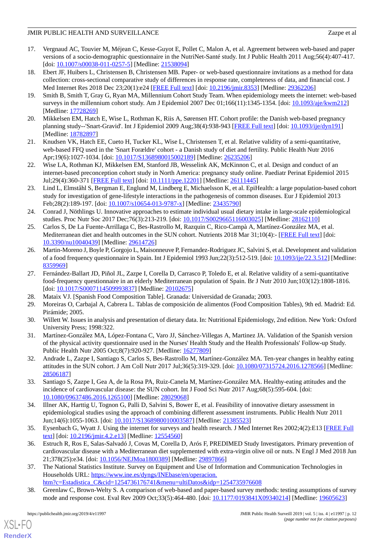- <span id="page-11-2"></span>17. Vergnaud AC, Touvier M, Méjean C, Kesse-Guyot E, Pollet C, Malon A, et al. Agreement between web-based and paper versions of a socio-demographic questionnaire in the NutriNet-Santé study. Int J Public Health 2011 Aug;56(4):407-417. [doi: [10.1007/s00038-011-0257-5](http://dx.doi.org/10.1007/s00038-011-0257-5)] [Medline: [21538094\]](http://www.ncbi.nlm.nih.gov/entrez/query.fcgi?cmd=Retrieve&db=PubMed&list_uids=21538094&dopt=Abstract)
- <span id="page-11-0"></span>18. Ebert JF, Huibers L, Christensen B, Christensen MB. Paper- or web-based questionnaire invitations as a method for data collection: cross-sectional comparative study of differences in response rate, completeness of data, and financial cost. J Med Internet Res 2018 Dec 23;20(1):e24 [\[FREE Full text\]](http://www.jmir.org/2018/1/e24/) [doi: [10.2196/jmir.8353\]](http://dx.doi.org/10.2196/jmir.8353) [Medline: [29362206](http://www.ncbi.nlm.nih.gov/entrez/query.fcgi?cmd=Retrieve&db=PubMed&list_uids=29362206&dopt=Abstract)]
- <span id="page-11-1"></span>19. Smith B, Smith T, Gray G, Ryan MA, Millennium Cohort Study Team. When epidemiology meets the internet: web-based surveys in the millennium cohort study. Am J Epidemiol 2007 Dec 01;166(11):1345-1354. [doi: [10.1093/aje/kwm212\]](http://dx.doi.org/10.1093/aje/kwm212) [Medline: [17728269](http://www.ncbi.nlm.nih.gov/entrez/query.fcgi?cmd=Retrieve&db=PubMed&list_uids=17728269&dopt=Abstract)]
- <span id="page-11-3"></span>20. Mikkelsen EM, Hatch E, Wise L, Rothman K, Riis A, Sørensen HT. Cohort profile: the Danish web-based pregnancy planning study--'Snart-Gravid'. Int J Epidemiol 2009 Aug;38(4):938-943 [\[FREE Full text\]](http://europepmc.org/abstract/MED/18782897) [doi: [10.1093/ije/dyn191\]](http://dx.doi.org/10.1093/ije/dyn191) [Medline: [18782897](http://www.ncbi.nlm.nih.gov/entrez/query.fcgi?cmd=Retrieve&db=PubMed&list_uids=18782897&dopt=Abstract)]
- 21. Knudsen VK, Hatch EE, Cueto H, Tucker KL, Wise L, Christensen T, et al. Relative validity of a semi-quantitative, web-based FFQ used in the 'Snart Forældre' cohort - a Danish study of diet and fertility. Public Health Nutr 2016 Apr;19(6):1027-1034. [doi: [10.1017/S1368980015002189\]](http://dx.doi.org/10.1017/S1368980015002189) [Medline: [26235206\]](http://www.ncbi.nlm.nih.gov/entrez/query.fcgi?cmd=Retrieve&db=PubMed&list_uids=26235206&dopt=Abstract)
- <span id="page-11-4"></span>22. Wise LA, Rothman KJ, Mikkelsen EM, Stanford JB, Wesselink AK, McKinnon C, et al. Design and conduct of an internet-based preconception cohort study in North America: pregnancy study online. Paediatr Perinat Epidemiol 2015 Jul;29(4):360-371 [[FREE Full text\]](http://europepmc.org/abstract/MED/26111445) [doi: [10.1111/ppe.12201](http://dx.doi.org/10.1111/ppe.12201)] [Medline: [26111445](http://www.ncbi.nlm.nih.gov/entrez/query.fcgi?cmd=Retrieve&db=PubMed&list_uids=26111445&dopt=Abstract)]
- <span id="page-11-5"></span>23. Lind L, Elmståhl S, Bergman E, Englund M, Lindberg E, Michaelsson K, et al. EpiHealth: a large population-based cohort study for investigation of gene-lifestyle interactions in the pathogenesis of common diseases. Eur J Epidemiol 2013 Feb;28(2):189-197. [doi: [10.1007/s10654-013-9787-x\]](http://dx.doi.org/10.1007/s10654-013-9787-x) [Medline: [23435790](http://www.ncbi.nlm.nih.gov/entrez/query.fcgi?cmd=Retrieve&db=PubMed&list_uids=23435790&dopt=Abstract)]
- <span id="page-11-6"></span>24. Conrad J, Nöthlings U. Innovative approaches to estimate individual usual dietary intake in large-scale epidemiological studies. Proc Nutr Soc 2017 Dec;76(3):213-219. [doi: [10.1017/S0029665116003025\]](http://dx.doi.org/10.1017/S0029665116003025) [Medline: [28162110\]](http://www.ncbi.nlm.nih.gov/entrez/query.fcgi?cmd=Retrieve&db=PubMed&list_uids=28162110&dopt=Abstract)
- <span id="page-11-7"></span>25. Carlos S, De La Fuente-Arrillaga C, Bes-Rastrollo M, Razquin C, Rico-Campà A, Martínez-González MA, et al. Mediterranean diet and health outcomes in the SUN cohort. Nutrients 2018 Mar 31;10(4):- [\[FREE Full text\]](http://www.mdpi.com/resolver?pii=nu10040439) [doi: [10.3390/nu10040439\]](http://dx.doi.org/10.3390/nu10040439) [Medline: [29614726\]](http://www.ncbi.nlm.nih.gov/entrez/query.fcgi?cmd=Retrieve&db=PubMed&list_uids=29614726&dopt=Abstract)
- <span id="page-11-8"></span>26. Martin-Moreno J, Boyle P, Gorgojo L, Maisonneuve P, Fernandez-Rodriguez JC, Salvini S, et al. Development and validation of a food frequency questionnaire in Spain. Int J Epidemiol 1993 Jun;22(3):512-519. [doi: [10.1093/ije/22.3.512\]](http://dx.doi.org/10.1093/ije/22.3.512) [Medline: [8359969\]](http://www.ncbi.nlm.nih.gov/entrez/query.fcgi?cmd=Retrieve&db=PubMed&list_uids=8359969&dopt=Abstract)
- <span id="page-11-10"></span><span id="page-11-9"></span>27. Fernández-Ballart JD, Piñol JL, Zazpe I, Corella D, Carrasco P, Toledo E, et al. Relative validity of a semi-quantitative food-frequency questionnaire in an elderly Mediterranean population of Spain. Br J Nutr 2010 Jun;103(12):1808-1816. [doi: [10.1017/S0007114509993837\]](http://dx.doi.org/10.1017/S0007114509993837) [Medline: [20102675](http://www.ncbi.nlm.nih.gov/entrez/query.fcgi?cmd=Retrieve&db=PubMed&list_uids=20102675&dopt=Abstract)]
- <span id="page-11-11"></span>28. Mataix VJ. [Spanish Food Composition Table]. Granada: Universidad de Granada; 2003.
- <span id="page-11-12"></span>29. Moreiras O, Carbajal A, Cabrera L. Tablas de composición de alimentos (Food Composition Tables), 9th ed. Madrid: Ed. Pirámide; 2005.
- <span id="page-11-13"></span>30. Willett W. Issues in analysis and presentation of dietary data. In: Nutritional Epidemiology, 2nd edition. New York: Oxford University Press; 1998:322.
- <span id="page-11-14"></span>31. Martínez-González MA, López-Fontana C, Varo JJ, Sánchez-Villegas A, Martinez JA. Validation of the Spanish version of the physical activity questionnaire used in the Nurses' Health Study and the Health Professionals' Follow-up Study. Public Health Nutr 2005 Oct;8(7):920-927. [Medline: [16277809](http://www.ncbi.nlm.nih.gov/entrez/query.fcgi?cmd=Retrieve&db=PubMed&list_uids=16277809&dopt=Abstract)]
- <span id="page-11-15"></span>32. Andrade L, Zazpe I, Santiago S, Carlos S, Bes-Rastrollo M, Martínez-González MA. Ten-year changes in healthy eating attitudes in the SUN cohort. J Am Coll Nutr 2017 Jul;36(5):319-329. [doi: [10.1080/07315724.2016.1278566\]](http://dx.doi.org/10.1080/07315724.2016.1278566) [Medline: [28506187](http://www.ncbi.nlm.nih.gov/entrez/query.fcgi?cmd=Retrieve&db=PubMed&list_uids=28506187&dopt=Abstract)]
- <span id="page-11-16"></span>33. Santiago S, Zazpe I, Gea A, de la Rosa PA, Ruiz-Canela M, Martínez-González MA. Healthy-eating attitudes and the incidence of cardiovascular disease: the SUN cohort. Int J Food Sci Nutr 2017 Aug;68(5):595-604. [doi: [10.1080/09637486.2016.1265100\]](http://dx.doi.org/10.1080/09637486.2016.1265100) [Medline: [28029068\]](http://www.ncbi.nlm.nih.gov/entrez/query.fcgi?cmd=Retrieve&db=PubMed&list_uids=28029068&dopt=Abstract)
- <span id="page-11-17"></span>34. Illner AK, Harttig U, Tognon G, Palli D, Salvini S, Bower E, et al. Feasibility of innovative dietary assessment in epidemiological studies using the approach of combining different assessment instruments. Public Health Nutr 2011 Jun;14(6):1055-1063. [doi: [10.1017/S1368980010003587](http://dx.doi.org/10.1017/S1368980010003587)] [Medline: [21385523\]](http://www.ncbi.nlm.nih.gov/entrez/query.fcgi?cmd=Retrieve&db=PubMed&list_uids=21385523&dopt=Abstract)
- <span id="page-11-18"></span>35. Eysenbach G, Wyatt J. Using the internet for surveys and health research. J Med Internet Res 2002;4(2):E13 [\[FREE Full](http://www.jmir.org/2002/2/e13/) [text](http://www.jmir.org/2002/2/e13/)] [doi: [10.2196/jmir.4.2.e13\]](http://dx.doi.org/10.2196/jmir.4.2.e13) [Medline: [12554560\]](http://www.ncbi.nlm.nih.gov/entrez/query.fcgi?cmd=Retrieve&db=PubMed&list_uids=12554560&dopt=Abstract)
- <span id="page-11-19"></span>36. Estruch R, Ros E, Salas-Salvadó J, Covas M, Corella D, Arós F, PREDIMED Study Investigators. Primary prevention of cardiovascular disease with a Mediterranean diet supplemented with extra-virgin olive oil or nuts. N Engl J Med 2018 Jun 21;378(25):e34. [doi: [10.1056/NEJMoa1800389](http://dx.doi.org/10.1056/NEJMoa1800389)] [Medline: [29897866](http://www.ncbi.nlm.nih.gov/entrez/query.fcgi?cmd=Retrieve&db=PubMed&list_uids=29897866&dopt=Abstract)]
- 37. The National Statistics Institute. Survey on Equipment and Use of Information and Communication Technologies in Households URL: [https://www.ine.es/dyngs/INEbase/en/operacion.](https://www.ine.es/dyngs/INEbase/en/operacion.htm?c=Estadistica_C&cid=1254736176741&menu=ultiDatos&idp=1254735976608) [htm?c=Estadistica\\_C&cid=1254736176741&menu=ultiDatos&idp=1254735976608](https://www.ine.es/dyngs/INEbase/en/operacion.htm?c=Estadistica_C&cid=1254736176741&menu=ultiDatos&idp=1254735976608)
- 38. Greenlaw C, Brown-Welty S. A comparison of web-based and paper-based survey methods: testing assumptions of survey mode and response cost. Eval Rev 2009 Oct;33(5):464-480. [doi: [10.1177/0193841X09340214](http://dx.doi.org/10.1177/0193841X09340214)] [Medline: [19605623\]](http://www.ncbi.nlm.nih.gov/entrez/query.fcgi?cmd=Retrieve&db=PubMed&list_uids=19605623&dopt=Abstract)

[XSL](http://www.w3.org/Style/XSL)•FO **[RenderX](http://www.renderx.com/)**